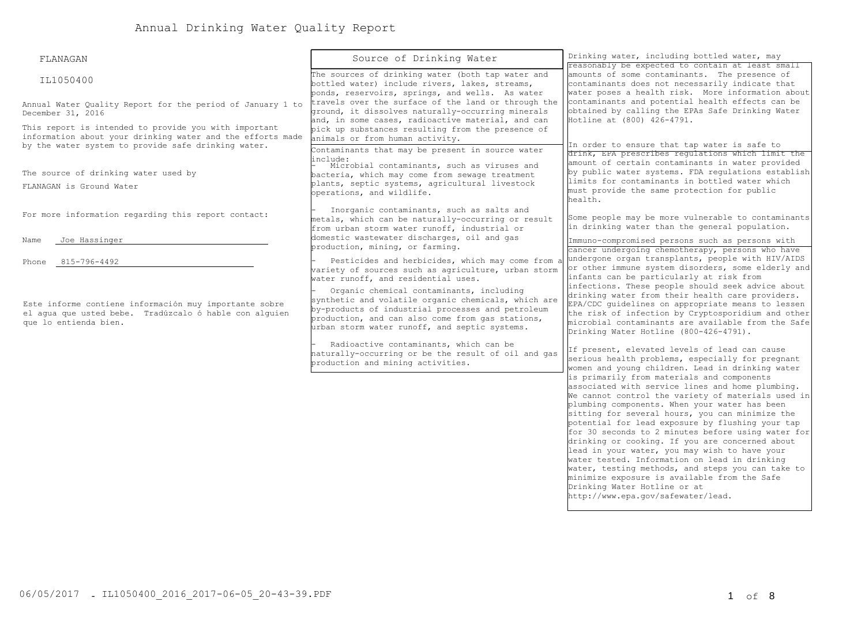| FLANAGAN                                                                                                                                                                   | Source of Drinking Water                                                                                                                                                                                                                                  | Drinking water, including bottled water, may<br>reasonably be expected to contain at least small                                                                                                                                                                                                                                                                                                                                                                                                                                                                                                                                                                                                   |  |  |
|----------------------------------------------------------------------------------------------------------------------------------------------------------------------------|-----------------------------------------------------------------------------------------------------------------------------------------------------------------------------------------------------------------------------------------------------------|----------------------------------------------------------------------------------------------------------------------------------------------------------------------------------------------------------------------------------------------------------------------------------------------------------------------------------------------------------------------------------------------------------------------------------------------------------------------------------------------------------------------------------------------------------------------------------------------------------------------------------------------------------------------------------------------------|--|--|
| IL1050400                                                                                                                                                                  | The sources of drinking water (both tap water and<br>bottled water) include rivers, lakes, streams,<br>ponds, reservoirs, springs, and wells. As water                                                                                                    | amounts of some contaminants. The presence of<br>contaminants does not necessarily indicate that<br>water poses a health risk. More information about<br>contaminants and potential health effects can be<br>obtained by calling the EPAs Safe Drinking Water<br>Hotline at (800) 426-4791.<br>In order to ensure that tap water is safe to<br>drink, EPA prescribes regulations which limit the                                                                                                                                                                                                                                                                                                   |  |  |
| Annual Water Quality Report for the period of January 1 to<br>December 31, 2016                                                                                            | travels over the surface of the land or through the<br>ground, it dissolves naturally-occurring minerals<br>and, in some cases, radioactive material, and can                                                                                             |                                                                                                                                                                                                                                                                                                                                                                                                                                                                                                                                                                                                                                                                                                    |  |  |
| This report is intended to provide you with important<br>information about your drinking water and the efforts made<br>by the water system to provide safe drinking water. | pick up substances resulting from the presence of<br>animals or from human activity.<br>Contaminants that may be present in source water<br>include:                                                                                                      |                                                                                                                                                                                                                                                                                                                                                                                                                                                                                                                                                                                                                                                                                                    |  |  |
| The source of drinking water used by                                                                                                                                       | Microbial contaminants, such as viruses and<br>bacteria, which may come from sewage treatment                                                                                                                                                             | amount of certain contaminants in water provided<br>by public water systems. FDA requlations establish<br>limits for contaminants in bottled water which<br>must provide the same protection for public<br>health.                                                                                                                                                                                                                                                                                                                                                                                                                                                                                 |  |  |
| FLANAGAN is Ground Water                                                                                                                                                   | plants, septic systems, agricultural livestock<br>operations, and wildlife.                                                                                                                                                                               |                                                                                                                                                                                                                                                                                                                                                                                                                                                                                                                                                                                                                                                                                                    |  |  |
| For more information regarding this report contact:                                                                                                                        | Inorganic contaminants, such as salts and<br>metals, which can be naturally-occurring or result<br>from urban storm water runoff, industrial or                                                                                                           | Some people may be more vulnerable to contaminants<br>in drinking water than the general population.                                                                                                                                                                                                                                                                                                                                                                                                                                                                                                                                                                                               |  |  |
| Name<br>Joe Hassinger                                                                                                                                                      | domestic wastewater discharges, oil and gas<br>production, mining, or farming.                                                                                                                                                                            | Immuno-compromised persons such as persons with<br>cancer undergoing chemotherapy, persons who have                                                                                                                                                                                                                                                                                                                                                                                                                                                                                                                                                                                                |  |  |
| Phone 815-796-4492                                                                                                                                                         | Pesticides and herbicides, which may come from a<br>variety of sources such as agriculture, urban storm<br>water runoff, and residential uses.                                                                                                            | undergone organ transplants, people with HIV/AIDS<br>or other immune system disorders, some elderly and<br>infants can be particularly at risk from                                                                                                                                                                                                                                                                                                                                                                                                                                                                                                                                                |  |  |
| Este informe contiene información muy importante sobre<br>el aqua que usted bebe. Tradúzcalo ó hable con alquien<br>que lo entienda bien.                                  | Organic chemical contaminants, including<br>synthetic and volatile organic chemicals, which are<br>by-products of industrial processes and petroleum<br>production, and can also come from gas stations,<br>urban storm water runoff, and septic systems. | infections. These people should seek advice about<br>drinking water from their health care providers.<br>EPA/CDC guidelines on appropriate means to lessen<br>the risk of infection by Cryptosporidium and other<br>microbial contaminants are available from the Safe<br>Drinking Water Hotline (800-426-4791).<br>If present, elevated levels of lead can cause<br>serious health problems, especially for pregnant<br>women and young children. Lead in drinking water                                                                                                                                                                                                                          |  |  |
|                                                                                                                                                                            | Radioactive contaminants, which can be<br>haturally-occurring or be the result of oil and gas<br>production and mining activities.                                                                                                                        |                                                                                                                                                                                                                                                                                                                                                                                                                                                                                                                                                                                                                                                                                                    |  |  |
|                                                                                                                                                                            |                                                                                                                                                                                                                                                           | is primarily from materials and components<br>associated with service lines and home plumbing.<br>We cannot control the variety of materials used in<br>plumbing components. When your water has been<br>sitting for several hours, you can minimize the<br>potential for lead exposure by flushing your tap<br>for 30 seconds to 2 minutes before using water for<br>drinking or cooking. If you are concerned about<br>lead in your water, you may wish to have your<br>water tested. Information on lead in drinking<br>water, testing methods, and steps you can take to<br>minimize exposure is available from the Safe<br>Drinking Water Hotline or at<br>http://www.epa.gov/safewater/lead. |  |  |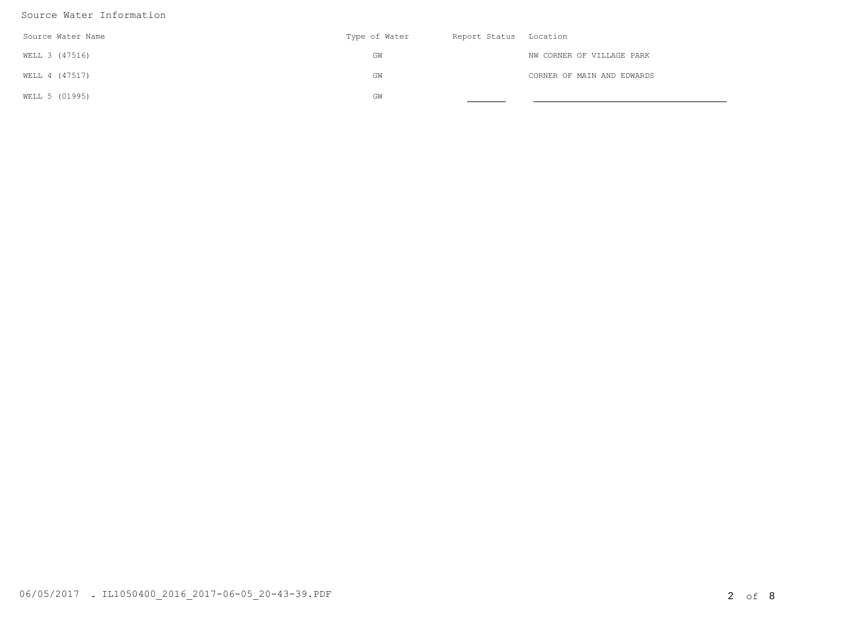## Source Water Information

| Source Water Name | Type of Water | Report Status Location |                            |
|-------------------|---------------|------------------------|----------------------------|
| WELL 3 (47516)    | GW            |                        | NW CORNER OF VILLAGE PARK  |
| WELL 4 (47517)    | GW            |                        | CORNER OF MAIN AND EDWARDS |
| WELL 5 (01995)    | GW            |                        |                            |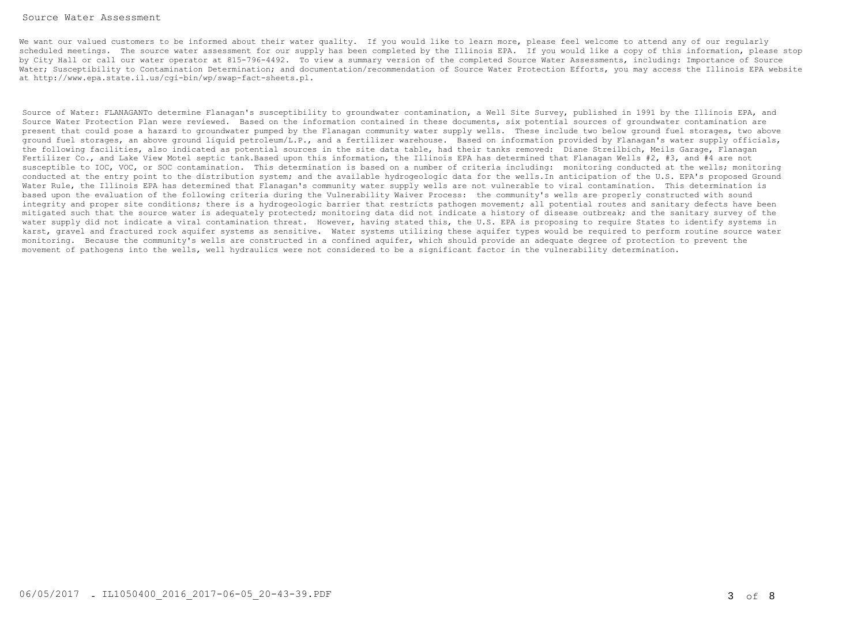## Source Water Assessment

We want our valued customers to be informed about their water quality. If you would like to learn more, please feel welcome to attend any of our regularly scheduled meetings. The source water assessment for our supply has been completed by the Illinois EPA. If you would like a copy of this information, please stop by City Hall or call our water operator at 815-796-4492. To view a summary version of the completed Source Water Assessments, including: Importance of Source Water; Susceptibility to Contamination Determination; and documentation/recommendation of Source Water Protection Efforts, you may access the Illinois EPA website [at http://www.epa.state.il.us/cgi-bin/wp/swap-fact-sheets.pl.](http://www.epa.state.il.us/cgi-bin/wp/swap-fact-sheets.pl)

Source of Water: FLANAGANTo determine Flanagan's susceptibility to groundwater contamination, a Well Site Survey, published in 1991 by the Illinois EPA, and Source Water Protection Plan were reviewed. Based on the information contained in these documents, six potential sources of groundwater contamination are present that could pose a hazard to groundwater pumped by the Flanagan community water supply wells. These include two below ground fuel storages, two above ground fuel storages, an above ground liquid petroleum/L.P., and a fertilizer warehouse. Based on information provided by Flanagan's water supply officials, the following facilities, also indicated as potential sources in the site data table, had their tanks removed: Diane Streilbich, Meils Garage, Flanagan Fertilizer Co., and Lake View Motel septic tank.Based upon this information, the Illinois EPA has determined that Flanagan Wells #2, #3, and #4 are not susceptible to IOC, VOC, or SOC contamination. This determination is based on a number of criteria including: monitoring conducted at the wells; monitoring conducted at the entry point to the distribution system; and the available hydrogeologic data for the wells.In anticipation of the U.S. EPA's proposed Ground Water Rule, the Illinois EPA has determined that Flanagan's community water supply wells are not vulnerable to viral contamination. This determination is based upon the evaluation of the following criteria during the Vulnerability Waiver Process: the community's wells are properly constructed with sound integrity and proper site conditions; there is a hydrogeologic barrier that restricts pathogen movement; all potential routes and sanitary defects have been mitigated such that the source water is adequately protected; monitoring data did not indicate a history of disease outbreak; and the sanitary survey of the water supply did not indicate a viral contamination threat. However, having stated this, the U.S. EPA is proposing to require States to identify systems in karst, gravel and fractured rock aquifer systems as sensitive. Water systems utilizing these aquifer types would be required to perform routine source water monitoring. Because the community's wells are constructed in a confined aquifer, which should provide an adequate degree of protection to prevent the movement of pathogens into the wells, well hydraulics were not considered to be a significant factor in the vulnerability determination.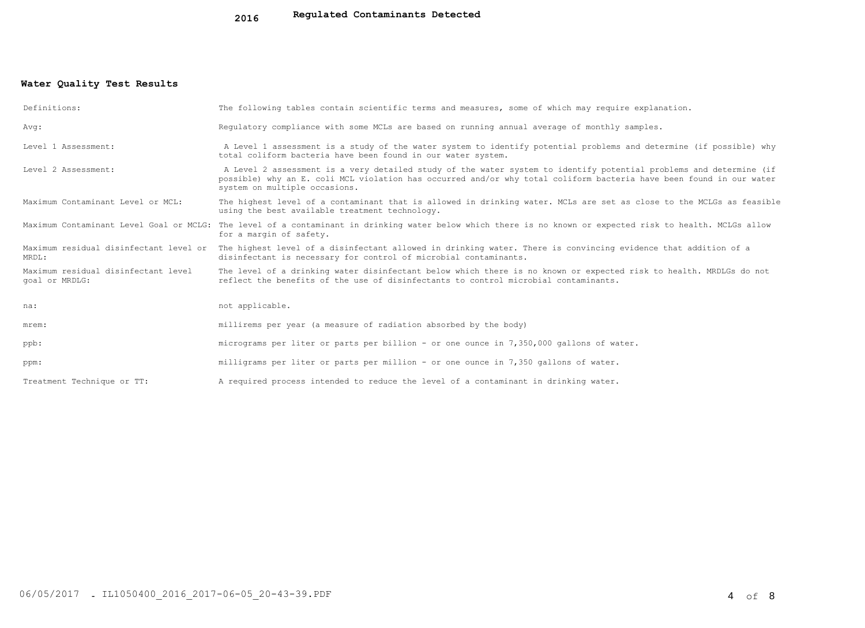## **Water Quality Test Results**

| Definitions:                                          | The following tables contain scientific terms and measures, some of which may require explanation.                                                                                                                                                                         |
|-------------------------------------------------------|----------------------------------------------------------------------------------------------------------------------------------------------------------------------------------------------------------------------------------------------------------------------------|
| Avg:                                                  | Requlatory compliance with some MCLs are based on running annual average of monthly samples.                                                                                                                                                                               |
| Level 1 Assessment:                                   | A Level 1 assessment is a study of the water system to identify potential problems and determine (if possible) why<br>total coliform bacteria have been found in our water system.                                                                                         |
| Level 2 Assessment:                                   | A Level 2 assessment is a very detailed study of the water system to identify potential problems and determine (if<br>possible) why an E. coli MCL violation has occurred and/or why total coliform bacteria have been found in our water<br>system on multiple occasions. |
| Maximum Contaminant Level or MCL:                     | The highest level of a contaminant that is allowed in drinking water. MCLs are set as close to the MCLGs as feasible<br>using the best available treatment technology.                                                                                                     |
|                                                       | Maximum Contaminant Level Goal or MCLG: The level of a contaminant in drinking water below which there is no known or expected risk to health. MCLGs allow<br>for a margin of safety.                                                                                      |
| MRDL:                                                 | Maximum residual disinfectant level or The highest level of a disinfectant allowed in drinking water. There is convincing evidence that addition of a<br>disinfectant is necessary for control of microbial contaminants.                                                  |
| Maximum residual disinfectant level<br>goal or MRDLG: | The level of a drinking water disinfectant below which there is no known or expected risk to health. MRDLGs do not<br>reflect the benefits of the use of disinfectants to control microbial contaminants.                                                                  |
| na:                                                   | not applicable.                                                                                                                                                                                                                                                            |
| mrem:                                                 | millirems per year (a measure of radiation absorbed by the body)                                                                                                                                                                                                           |
| ppb:                                                  | micrograms per liter or parts per billion - or one ounce in 7,350,000 gallons of water.                                                                                                                                                                                    |
| ppm:                                                  | milligrams per liter or parts per million - or one ounce in 7,350 gallons of water.                                                                                                                                                                                        |
| Treatment Technique or TT:                            | A required process intended to reduce the level of a contaminant in drinking water.                                                                                                                                                                                        |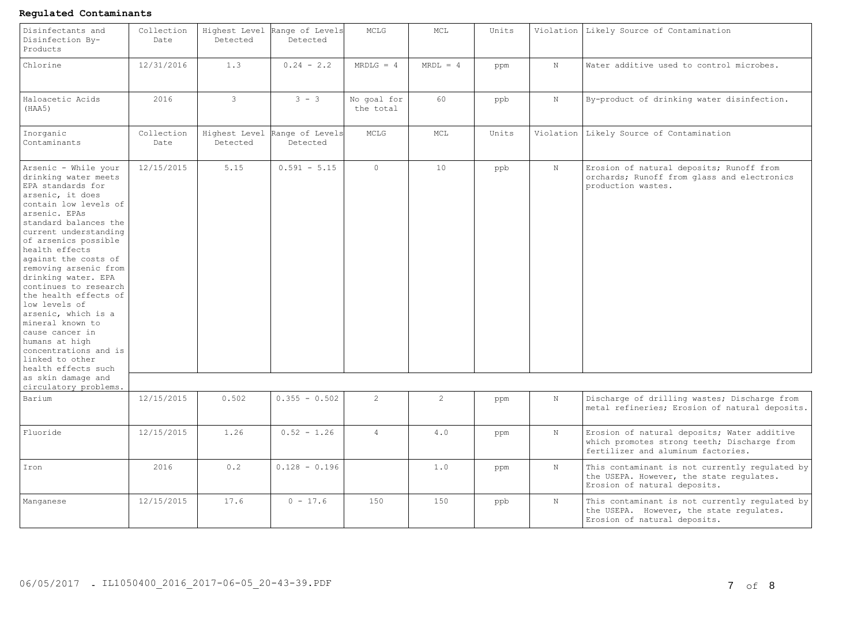## **Regulated Contaminants**

| Disinfectants and<br>Disinfection By-<br>Products                                                                                                                                                                                                                                                                                                                                                                                                                                                                                                                        | Collection<br>Date | Highest Level<br>Detected | Range of Levels<br>Detected | MCLG                     | MCL            | Units |             | Violation Likely Source of Contamination                                                                                         |
|--------------------------------------------------------------------------------------------------------------------------------------------------------------------------------------------------------------------------------------------------------------------------------------------------------------------------------------------------------------------------------------------------------------------------------------------------------------------------------------------------------------------------------------------------------------------------|--------------------|---------------------------|-----------------------------|--------------------------|----------------|-------|-------------|----------------------------------------------------------------------------------------------------------------------------------|
| Chlorine                                                                                                                                                                                                                                                                                                                                                                                                                                                                                                                                                                 | 12/31/2016         | 1.3                       | $0.24 - 2.2$                | $MRDLG = 4$              | $MRDL = 4$     | ppm   | $\rm N$     | Water additive used to control microbes.                                                                                         |
| Haloacetic Acids<br>(HAA5)                                                                                                                                                                                                                                                                                                                                                                                                                                                                                                                                               | 2016               | $\mathbf{3}$              | $3 - 3$                     | No goal for<br>the total | 60             | ppb   | $\mathbf N$ | By-product of drinking water disinfection.                                                                                       |
| Inorganic<br>Contaminants                                                                                                                                                                                                                                                                                                                                                                                                                                                                                                                                                | Collection<br>Date | Highest Level<br>Detected | Range of Levels<br>Detected | MCLG                     | MCL            | Units | Violation   | Likely Source of Contamination                                                                                                   |
| Arsenic - While your<br>drinking water meets<br>EPA standards for<br>arsenic, it does<br>contain low levels of<br>arsenic. EPAs<br>standard balances the<br>current understanding<br>of arsenics possible<br>health effects<br>against the costs of<br>removing arsenic from<br>drinking water. EPA<br>continues to research<br>the health effects of<br>low levels of<br>arsenic, which is a<br>mineral known to<br>cause cancer in<br>humans at high<br>concentrations and is<br>linked to other<br>health effects such<br>as skin damage and<br>circulatory problems. | 12/15/2015         | 5.15                      | $0.591 - 5.15$              | $\circ$                  | 10             | ppb   | $\,$ N      | Erosion of natural deposits; Runoff from<br>orchards; Runoff from glass and electronics<br>production wastes.                    |
| Barium                                                                                                                                                                                                                                                                                                                                                                                                                                                                                                                                                                   | 12/15/2015         | 0.502                     | $0.355 - 0.502$             | $\overline{2}$           | $\overline{2}$ | ppm   | $\mathbb N$ | Discharge of drilling wastes; Discharge from<br>metal refineries; Erosion of natural deposits.                                   |
| Fluoride                                                                                                                                                                                                                                                                                                                                                                                                                                                                                                                                                                 | 12/15/2015         | 1.26                      | $0.52 - 1.26$               | $\overline{4}$           | 4.0            | ppm   | $\mathbf N$ | Erosion of natural deposits; Water additive<br>which promotes strong teeth; Discharge from<br>fertilizer and aluminum factories. |
| Iron                                                                                                                                                                                                                                                                                                                                                                                                                                                                                                                                                                     | 2016               | 0.2                       | $0.128 - 0.196$             |                          | 1.0            | ppm   | $\mathbb N$ | This contaminant is not currently regulated by<br>the USEPA. However, the state requlates.<br>Erosion of natural deposits.       |
| Manganese                                                                                                                                                                                                                                                                                                                                                                                                                                                                                                                                                                | 12/15/2015         | 17.6                      | $0 - 17.6$                  | 150                      | 150            | ppb   | N           | This contaminant is not currently regulated by<br>the USEPA. However, the state regulates.<br>Erosion of natural deposits.       |